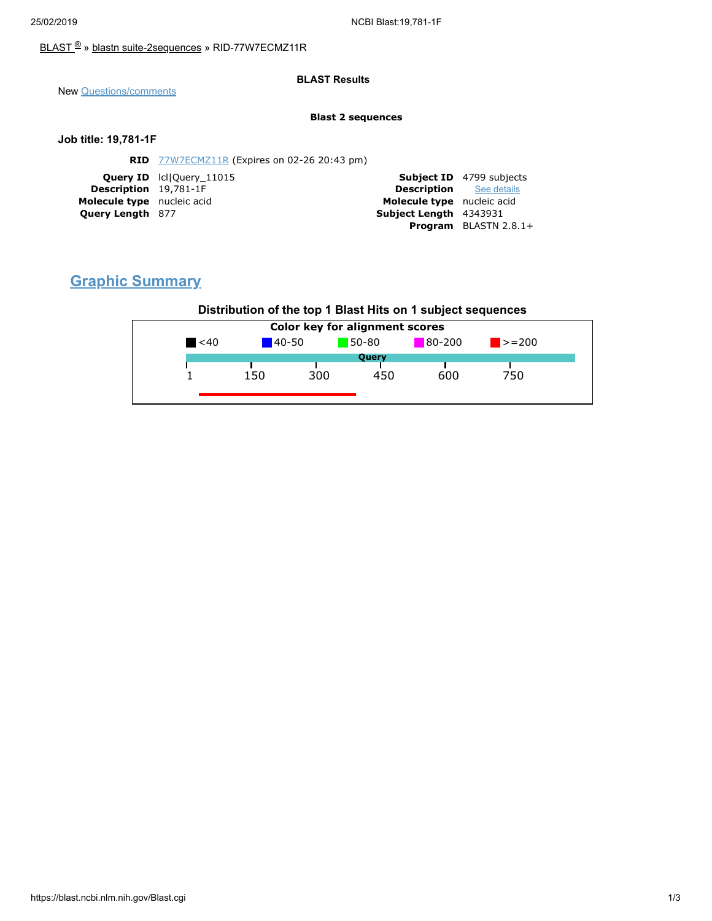## [BLAST](https://blast.ncbi.nlm.nih.gov/Blast.cgi) ® » blastn [suite-2sequences](https://blast.ncbi.nlm.nih.gov/Blast.cgi?PAGE=MegaBlast&PROGRAM=blastn&PAGE_TYPE=BlastSearch&BLAST_SPEC=blast2seq) » RID-77W7ECMZ11R

### **BLAST Results**

New [Questions/comments](https://support.nlm.nih.gov/knowledgebase/category/?id=CAT-01239)

#### **Blast 2 sequences**

### **Job title: 19,781-1F**

|                              | <b>RID</b> 77W7ECMZ11R (Expires on 02-26 20:43 pm) |                                |                                 |
|------------------------------|----------------------------------------------------|--------------------------------|---------------------------------|
|                              | <b>Query ID</b> IcllOuery 11015                    |                                | <b>Subject ID</b> 4799 subjects |
| <b>Description</b> 19,781-1F |                                                    | <b>Description</b> See details |                                 |
| Molecule type nucleic acid   |                                                    | Molecule type nucleic acid     |                                 |
| <b>Query Length 877</b>      |                                                    | <b>Subject Length</b> 4343931  |                                 |
|                              |                                                    |                                | <b>Program</b> BLASTN $2.8.1+$  |
|                              |                                                    |                                |                                 |

# **Graphic Summary**

## **Distribution of the top 1 Blast Hits on 1 subject sequences**

|           |            |     | Color key for alignment scores |            |                             |
|-----------|------------|-----|--------------------------------|------------|-----------------------------|
| $\leq 40$ | $140 - 50$ |     | 50-80                          | $80 - 200$ | $\blacktriangleright$ = 200 |
|           |            |     | Query                          |            |                             |
|           | 150        | 300 | 450                            | 600        | 750                         |
|           |            |     |                                |            |                             |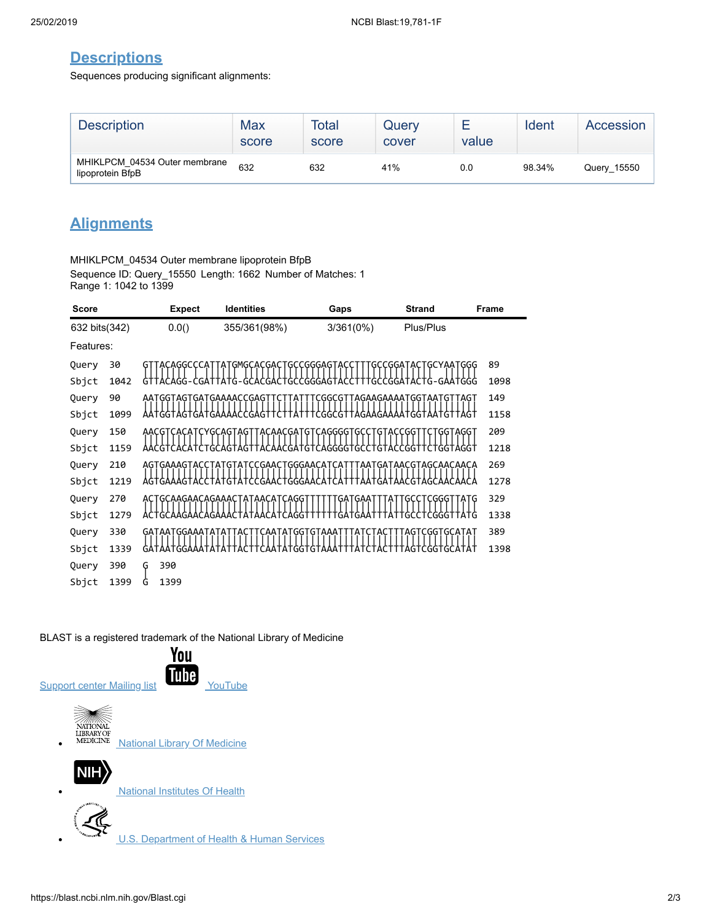# **Descriptions**

Sequences producing significant alignments:

| <b>Description</b>                                | Max<br>score | Total<br>score | Query<br>cover | value | Ident  | Accession   |
|---------------------------------------------------|--------------|----------------|----------------|-------|--------|-------------|
| MHIKLPCM 04534 Outer membrane<br>lipoprotein BfpB | 632          | 632            | 41%            | 0.0   | 98.34% | Query 15550 |

# **Alignments**

MHIKLPCM\_04534 Outer membrane lipoprotein BfpB Sequence ID: Query\_15550 Length: 1662 Number of Matches: 1 Range 1: 1042 to 1399

| <b>Score</b>  |      | <b>Expect</b>           | <b>Identities</b>                                 | Gaps                                                         | <b>Strand</b>                | <b>Frame</b> |
|---------------|------|-------------------------|---------------------------------------------------|--------------------------------------------------------------|------------------------------|--------------|
| 632 bits(342) |      | 0.0()                   | 355/361(98%)                                      | $3/361(0\%)$                                                 | Plus/Plus                    |              |
| Features:     |      |                         |                                                   |                                                              |                              |              |
| Query         | 30   | CAGGCCCAT               | ATGMGCACGACTGCCGGGAGT                             | Ά                                                            | <b>GCYAATGGG</b><br>:GGATAC1 | 89           |
| Sbjct         | 1042 | GTTACAGG-CGA            | GC<br>G                                           | GGGAG.                                                       | :GGATACTG-GAATGGG            | 1098         |
| Query         | 90   |                         |                                                   | AATGGTAGTGATGAAAACCGAGTTCTTATTTCGGCGTTAGAAGAAAATGGTAATGTTAGT |                              | 149          |
| Sbjct         | 1099 | AATGGTAGTGATGAAAACCGAGT | 1 A I I                                           | TCGGCGTTAGAAGAAA                                             | ATGGTAATGTTAGT               | 1158         |
| Query         | 150  |                         | <u>AACGTCACATCYGCAGTAGTTACAACGATGTCAGGGGTGCCT</u> | Ģ.                                                           | ACCGG<br>GGTAGGT             | 209          |
| Sbjct         | 1159 |                         |                                                   | CAGGGGTGCC<br>G                                              | TGGTAGGT<br>TGTACCGG         | 1218         |
| Query         | 210  | AGTGAAAGTACC            | :CGAACTGGGAACAT<br>۰Ą۰                            |                                                              | TGATAACGTAGCAACAACA.         | 269          |
| Sbjct         | 1219 | GAA:                    | `GA<br>'GGGA                                      |                                                              | GCA                          | 1278         |
| Query         | 270  | AC I                    | GCAAGAACAGAAACTATAACAT<br>CAGG <sup>-</sup>       |                                                              | CGGGTTATG                    | 329          |
| Sbjct         | 1279 | GCA                     |                                                   |                                                              | CGGGT                        | 1338         |
| Query         | 330  |                         | GATAATGGAAATATATTACTTCAATATGGTGTAAATTTAT          |                                                              | .CTACTTTAGTCGGTGCATAT        | 389          |
| Sbjct         | 1339 | GATAATGGA               |                                                   |                                                              | <b>CGGTGCATAT</b>            | 1398         |
| Query         | 390  | 390<br>G                |                                                   |                                                              |                              |              |
| Sbjct         | 1399 | 1399<br>G               |                                                   |                                                              |                              |              |

### BLAST is a registered trademark of the National Library of Medicine